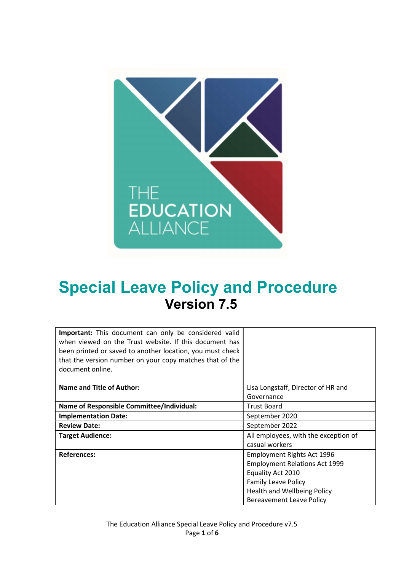

# Special Leave Policy and Procedure Version 7.5

| Important: This document can only be considered valid<br>when viewed on the Trust website. If this document has<br>been printed or saved to another location, you must check<br>that the version number on your copy matches that of the<br>document online. |                                      |
|--------------------------------------------------------------------------------------------------------------------------------------------------------------------------------------------------------------------------------------------------------------|--------------------------------------|
| Name and Title of Author:                                                                                                                                                                                                                                    | Lisa Longstaff, Director of HR and   |
|                                                                                                                                                                                                                                                              | Governance                           |
| <b>Name of Responsible Committee/Individual:</b>                                                                                                                                                                                                             | <b>Trust Board</b>                   |
| <b>Implementation Date:</b>                                                                                                                                                                                                                                  | September 2020                       |
| <b>Review Date:</b>                                                                                                                                                                                                                                          | September 2022                       |
| <b>Target Audience:</b>                                                                                                                                                                                                                                      | All employees, with the exception of |
|                                                                                                                                                                                                                                                              | casual workers                       |
| <b>References:</b>                                                                                                                                                                                                                                           | Employment Rights Act 1996           |
|                                                                                                                                                                                                                                                              | <b>Employment Relations Act 1999</b> |
|                                                                                                                                                                                                                                                              | Equality Act 2010                    |
|                                                                                                                                                                                                                                                              | <b>Family Leave Policy</b>           |
|                                                                                                                                                                                                                                                              | Health and Wellbeing Policy          |
|                                                                                                                                                                                                                                                              | <b>Bereavement Leave Policy</b>      |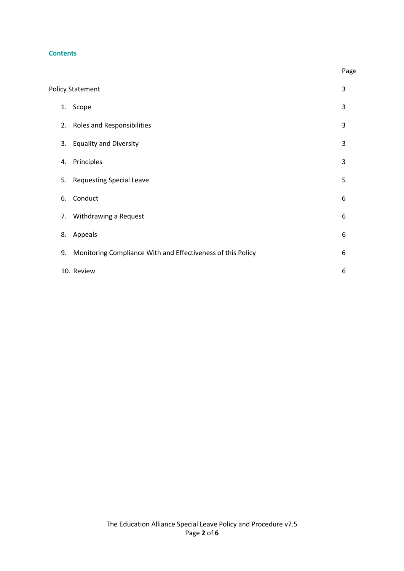## **Contents**

|    | <b>Policy Statement</b>                                     | 3 |
|----|-------------------------------------------------------------|---|
|    | 1. Scope                                                    | 3 |
|    | 2. Roles and Responsibilities                               | 3 |
| 3. | <b>Equality and Diversity</b>                               | 3 |
| 4. | Principles                                                  | 3 |
| 5. | <b>Requesting Special Leave</b>                             | 5 |
| 6. | Conduct                                                     | 6 |
| 7. | Withdrawing a Request                                       | 6 |
| 8. | Appeals                                                     | 6 |
| 9. | Monitoring Compliance With and Effectiveness of this Policy | 6 |
|    | 10. Review                                                  | 6 |

**Page** and the contract of the contract of the contract of the contract of the contract of the contract of the contract of the contract of the contract of the contract of the contract of the contract of the contract of the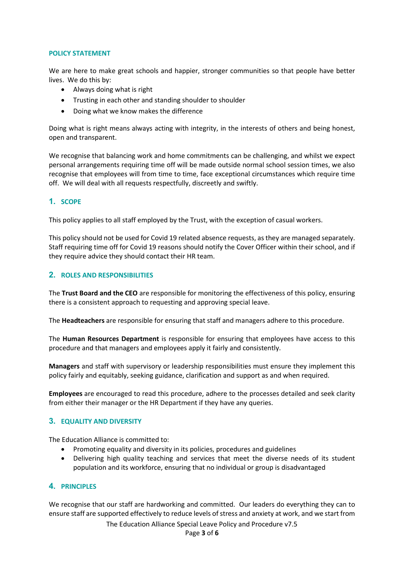#### POLICY STATEMENT

We are here to make great schools and happier, stronger communities so that people have better lives. We do this by:

- Always doing what is right
- Trusting in each other and standing shoulder to shoulder
- Doing what we know makes the difference

Doing what is right means always acting with integrity, in the interests of others and being honest, open and transparent.

We recognise that balancing work and home commitments can be challenging, and whilst we expect personal arrangements requiring time off will be made outside normal school session times, we also recognise that employees will from time to time, face exceptional circumstances which require time off. We will deal with all requests respectfully, discreetly and swiftly.

## 1. SCOPE

This policy applies to all staff employed by the Trust, with the exception of casual workers.

This policy should not be used for Covid 19 related absence requests, as they are managed separately. Staff requiring time off for Covid 19 reasons should notify the Cover Officer within their school, and if they require advice they should contact their HR team.

## 2. ROLES AND RESPONSIBILITIES

The Trust Board and the CEO are responsible for monitoring the effectiveness of this policy, ensuring there is a consistent approach to requesting and approving special leave.

The **Headteachers** are responsible for ensuring that staff and managers adhere to this procedure.

The Human Resources Department is responsible for ensuring that employees have access to this procedure and that managers and employees apply it fairly and consistently.

Managers and staff with supervisory or leadership responsibilities must ensure they implement this policy fairly and equitably, seeking guidance, clarification and support as and when required.

Employees are encouraged to read this procedure, adhere to the processes detailed and seek clarity from either their manager or the HR Department if they have any queries.

## 3. EQUALITY AND DIVERSITY

The Education Alliance is committed to:

- Promoting equality and diversity in its policies, procedures and guidelines
- Delivering high quality teaching and services that meet the diverse needs of its student population and its workforce, ensuring that no individual or group is disadvantaged

## **4. PRINCIPLES**

We recognise that our staff are hardworking and committed. Our leaders do everything they can to ensure staff are supported effectively to reduce levels of stress and anxiety at work, and we start from

The Education Alliance Special Leave Policy and Procedure v7.5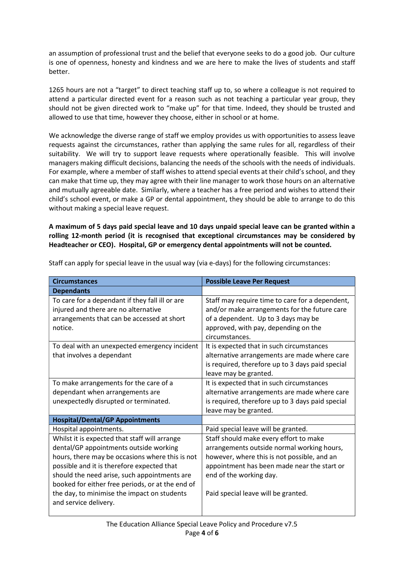an assumption of professional trust and the belief that everyone seeks to do a good job. Our culture is one of openness, honesty and kindness and we are here to make the lives of students and staff better.

1265 hours are not a "target" to direct teaching staff up to, so where a colleague is not required to attend a particular directed event for a reason such as not teaching a particular year group, they should not be given directed work to "make up" for that time. Indeed, they should be trusted and allowed to use that time, however they choose, either in school or at home.

We acknowledge the diverse range of staff we employ provides us with opportunities to assess leave requests against the circumstances, rather than applying the same rules for all, regardless of their suitability. We will try to support leave requests where operationally feasible. This will involve managers making difficult decisions, balancing the needs of the schools with the needs of individuals. For example, where a member of staff wishes to attend special events at their child's school, and they can make that time up, they may agree with their line manager to work those hours on an alternative and mutually agreeable date. Similarly, where a teacher has a free period and wishes to attend their child's school event, or make a GP or dental appointment, they should be able to arrange to do this without making a special leave request.

A maximum of 5 days paid special leave and 10 days unpaid special leave can be granted within a rolling 12-month period (it is recognised that exceptional circumstances may be considered by Headteacher or CEO). Hospital, GP or emergency dental appointments will not be counted.

| <b>Circumstances</b>                                                                                                                                                                                                                                                                                                                                                 | <b>Possible Leave Per Request</b>                                                                                                                                                                                                                    |
|----------------------------------------------------------------------------------------------------------------------------------------------------------------------------------------------------------------------------------------------------------------------------------------------------------------------------------------------------------------------|------------------------------------------------------------------------------------------------------------------------------------------------------------------------------------------------------------------------------------------------------|
| <b>Dependants</b>                                                                                                                                                                                                                                                                                                                                                    |                                                                                                                                                                                                                                                      |
| To care for a dependant if they fall ill or are<br>injured and there are no alternative<br>arrangements that can be accessed at short<br>notice.                                                                                                                                                                                                                     | Staff may require time to care for a dependent,<br>and/or make arrangements for the future care<br>of a dependent. Up to 3 days may be<br>approved, with pay, depending on the<br>circumstances.                                                     |
| To deal with an unexpected emergency incident<br>that involves a dependant                                                                                                                                                                                                                                                                                           | It is expected that in such circumstances<br>alternative arrangements are made where care<br>is required, therefore up to 3 days paid special<br>leave may be granted.                                                                               |
| To make arrangements for the care of a<br>dependant when arrangements are<br>unexpectedly disrupted or terminated.                                                                                                                                                                                                                                                   | It is expected that in such circumstances<br>alternative arrangements are made where care<br>is required, therefore up to 3 days paid special<br>leave may be granted.                                                                               |
| <b>Hospital/Dental/GP Appointments</b>                                                                                                                                                                                                                                                                                                                               |                                                                                                                                                                                                                                                      |
| Hospital appointments.                                                                                                                                                                                                                                                                                                                                               | Paid special leave will be granted.                                                                                                                                                                                                                  |
| Whilst it is expected that staff will arrange<br>dental/GP appointments outside working<br>hours, there may be occasions where this is not<br>possible and it is therefore expected that<br>should the need arise, such appointments are<br>booked for either free periods, or at the end of<br>the day, to minimise the impact on students<br>and service delivery. | Staff should make every effort to make<br>arrangements outside normal working hours,<br>however, where this is not possible, and an<br>appointment has been made near the start or<br>end of the working day.<br>Paid special leave will be granted. |

Staff can apply for special leave in the usual way (via e-days) for the following circumstances: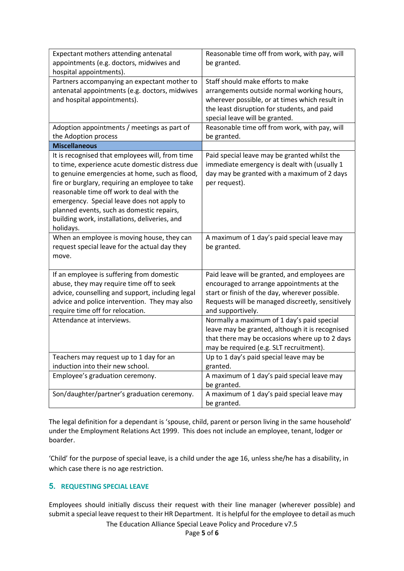| Expectant mothers attending antenatal                                                        | Reasonable time off from work, with pay, will                   |
|----------------------------------------------------------------------------------------------|-----------------------------------------------------------------|
| appointments (e.g. doctors, midwives and<br>hospital appointments).                          | be granted.                                                     |
| Partners accompanying an expectant mother to                                                 | Staff should make efforts to make                               |
| antenatal appointments (e.g. doctors, midwives                                               | arrangements outside normal working hours,                      |
| and hospital appointments).                                                                  | wherever possible, or at times which result in                  |
|                                                                                              | the least disruption for students, and paid                     |
|                                                                                              | special leave will be granted.                                  |
| Adoption appointments / meetings as part of                                                  | Reasonable time off from work, with pay, will                   |
| the Adoption process                                                                         | be granted.                                                     |
| <b>Miscellaneous</b>                                                                         |                                                                 |
| It is recognised that employees will, from time                                              | Paid special leave may be granted whilst the                    |
| to time, experience acute domestic distress due                                              | immediate emergency is dealt with (usually 1                    |
| to genuine emergencies at home, such as flood,                                               | day may be granted with a maximum of 2 days                     |
| fire or burglary, requiring an employee to take<br>reasonable time off work to deal with the | per request).                                                   |
| emergency. Special leave does not apply to                                                   |                                                                 |
| planned events, such as domestic repairs,                                                    |                                                                 |
| building work, installations, deliveries, and                                                |                                                                 |
| holidays.                                                                                    |                                                                 |
| When an employee is moving house, they can                                                   | A maximum of 1 day's paid special leave may                     |
| request special leave for the actual day they                                                | be granted.                                                     |
| move.                                                                                        |                                                                 |
|                                                                                              |                                                                 |
| If an employee is suffering from domestic                                                    | Paid leave will be granted, and employees are                   |
| abuse, they may require time off to seek                                                     | encouraged to arrange appointments at the                       |
| advice, counselling and support, including legal                                             | start or finish of the day, wherever possible.                  |
| advice and police intervention. They may also<br>require time off for relocation.            | Requests will be managed discreetly, sensitively                |
| Attendance at interviews.                                                                    | and supportively.<br>Normally a maximum of 1 day's paid special |
|                                                                                              | leave may be granted, although it is recognised                 |
|                                                                                              | that there may be occasions where up to 2 days                  |
|                                                                                              | may be required (e.g. SLT recruitment).                         |
| Teachers may request up to 1 day for an                                                      | Up to 1 day's paid special leave may be                         |
| induction into their new school.                                                             | granted.                                                        |
| Employee's graduation ceremony.                                                              | A maximum of 1 day's paid special leave may                     |
|                                                                                              | be granted.                                                     |
| Son/daughter/partner's graduation ceremony.                                                  | A maximum of 1 day's paid special leave may                     |
|                                                                                              | be granted.                                                     |

The legal definition for a dependant is 'spouse, child, parent or person living in the same household' under the Employment Relations Act 1999. This does not include an employee, tenant, lodger or boarder.

'Child' for the purpose of special leave, is a child under the age 16, unless she/he has a disability, in which case there is no age restriction.

# 5. REQUESTING SPECIAL LEAVE

Employees should initially discuss their request with their line manager (wherever possible) and submit a special leave request to their HR Department. It is helpful for the employee to detail as much

The Education Alliance Special Leave Policy and Procedure v7.5